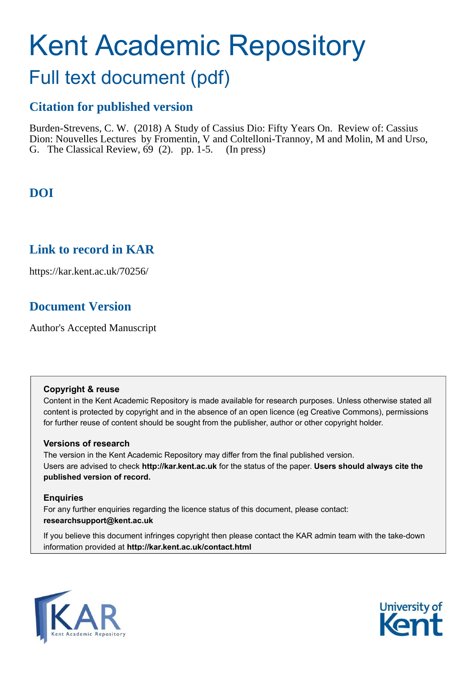# Kent Academic Repository

## Full text document (pdf)

## **Citation for published version**

Burden-Strevens, C. W. (2018) A Study of Cassius Dio: Fifty Years On. Review of: Cassius Dion: Nouvelles Lectures by Fromentin, V and Coltelloni-Trannoy, M and Molin, M and Urso, G. The Classical Review,  $69$  (2). pp. 1-5. (In press)

## **DOI**

## **Link to record in KAR**

https://kar.kent.ac.uk/70256/

## **Document Version**

Author's Accepted Manuscript

#### **Copyright & reuse**

Content in the Kent Academic Repository is made available for research purposes. Unless otherwise stated all content is protected by copyright and in the absence of an open licence (eg Creative Commons), permissions for further reuse of content should be sought from the publisher, author or other copyright holder.

#### **Versions of research**

The version in the Kent Academic Repository may differ from the final published version. Users are advised to check **http://kar.kent.ac.uk** for the status of the paper. **Users should always cite the published version of record.**

#### **Enquiries**

For any further enquiries regarding the licence status of this document, please contact: **researchsupport@kent.ac.uk**

If you believe this document infringes copyright then please contact the KAR admin team with the take-down information provided at **http://kar.kent.ac.uk/contact.html**



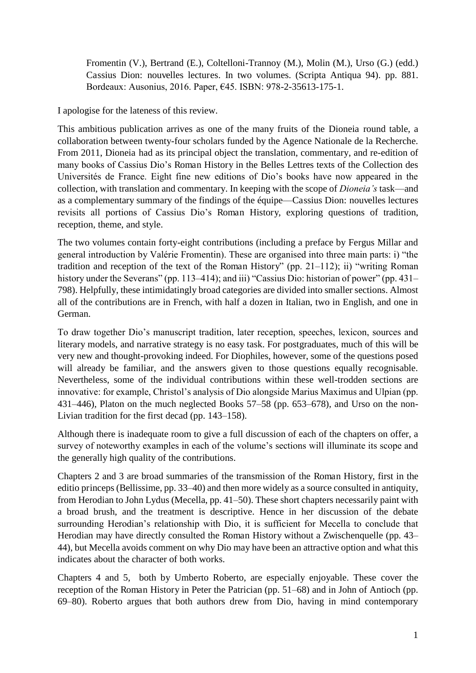Fromentin (V.), Bertrand (E.), Coltelloni-Trannoy (M.), Molin (M.), Urso (G.) (edd.) Cassius Dion: nouvelles lectures. In two volumes. (Scripta Antiqua 94). pp. 881. Bordeaux: Ausonius, 2016. Paper, €45. ISBN: 978-2-35613-175-1.

I apologise for the lateness of this review.

This ambitious publication arrives as one of the many fruits of the Dioneia round table, a collaboration between twenty-four scholars funded by the Agence Nationale de la Recherche. From 2011, Dioneia had as its principal object the translation, commentary, and re-edition of many books of Cassius Dio's Roman History in the Belles Lettres texts of the Collection des Universités de France. Eight fine new editions of Dio's books have now appeared in the collection, with translation and commentary. In keeping with the scope of *Dioneia's* task—and as a complementary summary of the findings of the équipe—Cassius Dion: nouvelles lectures revisits all portions of Cassius Dio's Roman History, exploring questions of tradition, reception, theme, and style.

The two volumes contain forty-eight contributions (including a preface by Fergus Millar and general introduction by Valérie Fromentin). These are organised into three main parts: i) "the tradition and reception of the text of the Roman History" (pp.  $21-112$ ); ii) "writing Roman history under the Severans" (pp. 113–414); and iii) "Cassius Dio: historian of power" (pp. 431– 798). Helpfully, these intimidatingly broad categories are divided into smaller sections. Almost all of the contributions are in French, with half a dozen in Italian, two in English, and one in German.

To draw together Dio's manuscript tradition, later reception, speeches, lexicon, sources and literary models, and narrative strategy is no easy task. For postgraduates, much of this will be very new and thought-provoking indeed. For Diophiles, however, some of the questions posed will already be familiar, and the answers given to those questions equally recognisable. Nevertheless, some of the individual contributions within these well-trodden sections are innovative: for example, Christol's analysis of Dio alongside Marius Maximus and Ulpian (pp. 431–446), Platon on the much neglected Books 57–58 (pp. 653–678), and Urso on the non-Livian tradition for the first decad (pp. 143–158).

Although there is inadequate room to give a full discussion of each of the chapters on offer, a survey of noteworthy examples in each of the volume's sections will illuminate its scope and the generally high quality of the contributions.

Chapters 2 and 3 are broad summaries of the transmission of the Roman History, first in the editio princeps (Bellissime, pp. 33–40) and then more widely as a source consulted in antiquity, from Herodian to John Lydus (Mecella, pp. 41–50). These short chapters necessarily paint with a broad brush, and the treatment is descriptive. Hence in her discussion of the debate surrounding Herodian's relationship with Dio, it is sufficient for Mecella to conclude that Herodian may have directly consulted the Roman History without a Zwischenquelle (pp. 43– 44), but Mecella avoids comment on why Dio may have been an attractive option and what this indicates about the character of both works.

Chapters 4 and 5, both by Umberto Roberto, are especially enjoyable. These cover the reception of the Roman History in Peter the Patrician (pp. 51–68) and in John of Antioch (pp. 69–80). Roberto argues that both authors drew from Dio, having in mind contemporary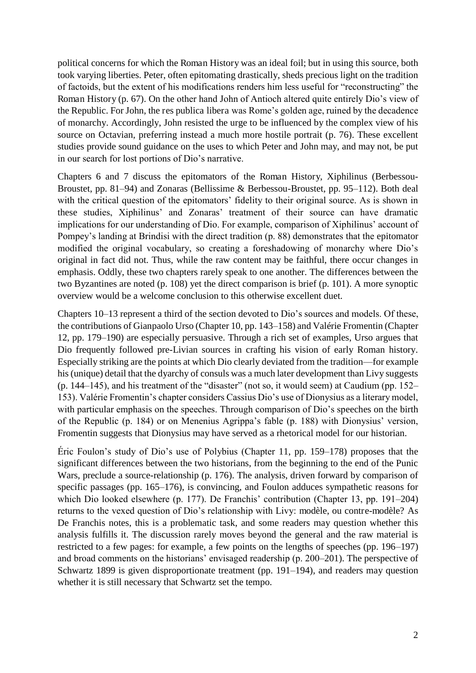political concerns for which the Roman History was an ideal foil; but in using this source, both took varying liberties. Peter, often epitomating drastically, sheds precious light on the tradition of factoids, but the extent of his modifications renders him less useful for "reconstructing" the Roman History (p. 67). On the other hand John of Antioch altered quite entirely Dio's view of the Republic. For John, the res publica libera was Rome's golden age, ruined by the decadence of monarchy. Accordingly, John resisted the urge to be influenced by the complex view of his source on Octavian, preferring instead a much more hostile portrait (p. 76). These excellent studies provide sound guidance on the uses to which Peter and John may, and may not, be put in our search for lost portions of Dio's narrative.

Chapters 6 and 7 discuss the epitomators of the Roman History, Xiphilinus (Berbessou-Broustet, pp. 81–94) and Zonaras (Bellissime & Berbessou-Broustet, pp. 95–112). Both deal with the critical question of the epitomators' fidelity to their original source. As is shown in these studies, Xiphilinus' and Zonaras' treatment of their source can have dramatic implications for our understanding of Dio. For example, comparison of Xiphilinus' account of Pompey's landing at Brindisi with the direct tradition (p. κκ) demonstrates that the epitomator modified the original vocabulary, so creating a foreshadowing of monarchy where Dio's original in fact did not. Thus, while the raw content may be faithful, there occur changes in emphasis. Oddly, these two chapters rarely speak to one another. The differences between the two Byzantines are noted (p. 108) yet the direct comparison is brief (p. 101). A more synoptic overview would be a welcome conclusion to this otherwise excellent duet.

Chapters 10–13 represent a third of the section devoted to Dio's sources and models. Of these, the contributions of Gianpaolo Urso (Chapter 10, pp. 143–158) and Valérie Fromentin (Chapter 12, pp. 179–190) are especially persuasive. Through a rich set of examples, Urso argues that Dio frequently followed pre-Livian sources in crafting his vision of early Roman history. Especially striking are the points at which Dio clearly deviated from the tradition—for example his (unique) detail that the dyarchy of consuls was a much later development than Livy suggests (p. 144–145), and his treatment of the "disaster" (not so, it would seem) at Caudium (pp. 152– 153). Valérie Fromentin's chapter considers Cassius Dio's use of Dionysius as a literary model, with particular emphasis on the speeches. Through comparison of Dio's speeches on the birth of the Republic (p. 184) or on Menenius Agrippa's fable (p. 188) with Dionysius' version, Fromentin suggests that Dionysius may have served as a rhetorical model for our historian.

Éric Foulon's study of Dio's use of Polybius (Chapter 11, pp. 159–178) proposes that the significant differences between the two historians, from the beginning to the end of the Punic Wars, preclude a source-relationship (p. 176). The analysis, driven forward by comparison of specific passages (pp. 165–176), is convincing, and Foulon adduces sympathetic reasons for which Dio looked elsewhere (p. 177). De Franchis' contribution (Chapter 13, pp. 191–204) returns to the vexed question of Dio's relationship with Livy: modèle, ou contre-modèle? As De Franchis notes, this is a problematic task, and some readers may question whether this analysis fulfills it. The discussion rarely moves beyond the general and the raw material is restricted to a few pages: for example, a few points on the lengths of speeches (pp. 196–197) and broad comments on the historians' envisaged readership (p. 200–201). The perspective of Schwartz 1899 is given disproportionate treatment (pp. 191–194), and readers may question whether it is still necessary that Schwartz set the tempo.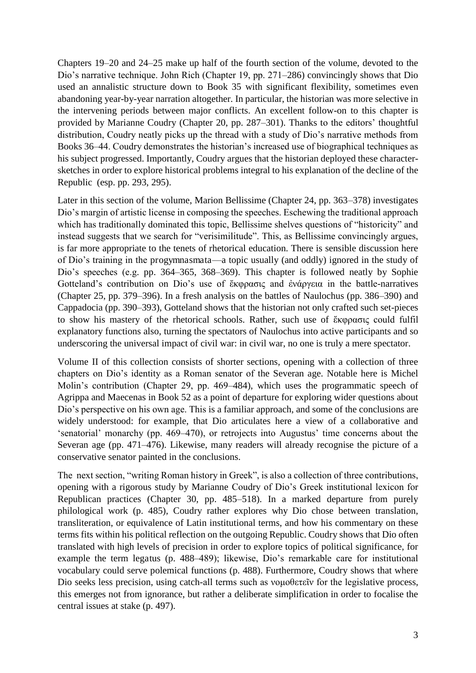Chapters 19–20 and 24–25 make up half of the fourth section of the volume, devoted to the Dio's narrative technique. John Rich (Chapter 19, pp. 271–286) convincingly shows that Dio used an annalistic structure down to Book 35 with significant flexibility, sometimes even abandoning year-by-year narration altogether. In particular, the historian was more selective in the intervening periods between major conflicts. An excellent follow-on to this chapter is provided by Marianne Coudry (Chapter 20, pp. 287–301). Thanks to the editors' thoughtful distribution, Coudry neatly picks up the thread with a study of Dio's narrative methods from Books 36–44. Coudry demonstrates the historian's increased use of biographical techniques as his subject progressed. Importantly, Coudry argues that the historian deployed these charactersketches in order to explore historical problems integral to his explanation of the decline of the Republic (esp. pp. 293, 295).

Later in this section of the volume, Marion Bellissime (Chapter 24, pp. 363–378) investigates Dio's margin of artistic license in composing the speeches. Eschewing the traditional approach which has traditionally dominated this topic, Bellissime shelves questions of "historicity" and instead suggests that we search for "verisimilitude". This, as Bellissime convincingly argues, is far more appropriate to the tenets of rhetorical education. There is sensible discussion here of Dio's training in the progymnasmata—a topic usually (and oddly) ignored in the study of Dio's speeches (e.g. pp. 364–365, 368–369). This chapter is followed neatly by Sophie Gotteland's contribution on Dio's use of  $\epsilon$ <sub>xppa $\sigma$  $\epsilon$  and  $\epsilon$  $\alpha$  $\gamma$  $\epsilon$  $\alpha$  in the battle-narratives</sub> (Chapter 25, pp. 379–396). In a fresh analysis on the battles of Naulochus (pp. 386–390) and Cappadocia (pp. 390–393), Gotteland shows that the historian not only crafted such set-pieces to show his mastery of the rhetorical schools. Rather, such use of  $\epsilon \kappa \varphi \rho \alpha \sigma \iota \zeta$  could fulfil explanatory functions also, turning the spectators of Naulochus into active participants and so underscoring the universal impact of civil war: in civil war, no one is truly a mere spectator.

Volume II of this collection consists of shorter sections, opening with a collection of three chapters on Dio's identity as a Roman senator of the Severan age. Notable here is Michel Molin's contribution (Chapter 29, pp. 469–484), which uses the programmatic speech of Agrippa and Maecenas in Book 52 as a point of departure for exploring wider questions about Dio's perspective on his own age. This is a familiar approach, and some of the conclusions are widely understood: for example, that Dio articulates here a view of a collaborative and 'senatorial' monarchy (pp. 469–470), or retrojects into Augustus' time concerns about the Severan age (pp. 471–476). Likewise, many readers will already recognise the picture of a conservative senator painted in the conclusions.

The next section, "writing Roman history in Greek", is also a collection of three contributions, opening with a rigorous study by Marianne Coudry of Dio's Greek institutional lexicon for Republican practices (Chapter 30, pp. 485–518). In a marked departure from purely philological work (p. 485), Coudry rather explores why Dio chose between translation, transliteration, or equivalence of Latin institutional terms, and how his commentary on these terms fits within his political reflection on the outgoing Republic. Coudry shows that Dio often translated with high levels of precision in order to explore topics of political significance, for example the term legatus (p.  $488-489$ ); likewise, Dio's remarkable care for institutional vocabulary could serve polemical functions (p. 488). Furthermore, Coudry shows that where Dio seeks less precision, using catch-all terms such as  $v \circ \omega$  for the legislative process, this emerges not from ignorance, but rather a deliberate simplification in order to focalise the central issues at stake (p. 497).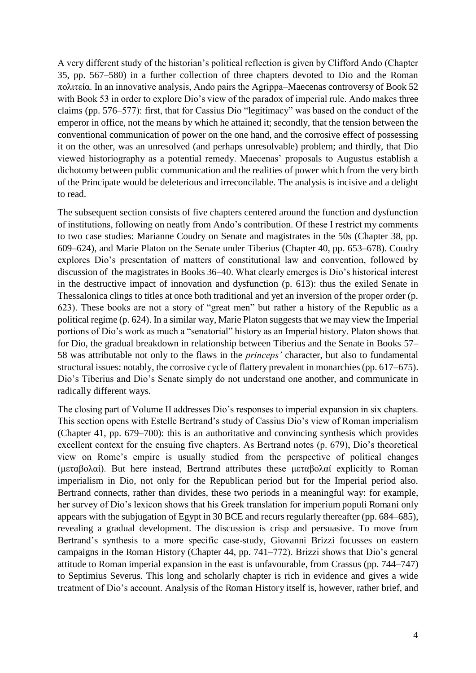A very different study of the historian's political reflection is given by Clifford Ando (Chapter 35, pp. 567–580) in a further collection of three chapters devoted to Dio and the Roman  $\pi$ o $\lambda$ ttei $\alpha$ . In an innovative analysis, Ando pairs the Agrippa–Maecenas controversy of Book 52 with Book 53 in order to explore Dio's view of the paradox of imperial rule. Ando makes three claims (pp. 576–577): first, that for Cassius Dio "legitimacy" was based on the conduct of the emperor in office, not the means by which he attained it; secondly, that the tension between the conventional communication of power on the one hand, and the corrosive effect of possessing it on the other, was an unresolved (and perhaps unresolvable) problem; and thirdly, that Dio viewed historiography as a potential remedy. Maecenas' proposals to Augustus establish a dichotomy between public communication and the realities of power which from the very birth of the Principate would be deleterious and irreconcilable. The analysis is incisive and a delight to read.

The subsequent section consists of five chapters centered around the function and dysfunction of institutions, following on neatly from Ando's contribution. Of these I restrict my comments to two case studies: Marianne Coudry on Senate and magistrates in the 50s (Chapter 38, pp. 609–624), and Marie Platon on the Senate under Tiberius (Chapter 40, pp. 653–678). Coudry explores Dio's presentation of matters of constitutional law and convention, followed by discussion of the magistrates in Books 36–40. What clearly emerges is Dio's historical interest in the destructive impact of innovation and dysfunction (p. 613): thus the exiled Senate in Thessalonica clings to titles at once both traditional and yet an inversion of the proper order (p. 623). These books are not a story of "great men" but rather a history of the Republic as a political regime (p. 624). In a similar way, Marie Platon suggests that we may view the Imperial portions of Dio's work as much a "senatorial" history as an Imperial history. Platon shows that for Dio, the gradual breakdown in relationship between Tiberius and the Senate in Books 57– 58 was attributable not only to the flaws in the *princeps'* character, but also to fundamental structural issues: notably, the corrosive cycle of flattery prevalent in monarchies (pp. 617–675). Dio's Tiberius and Dio's Senate simply do not understand one another, and communicate in radically different ways.

The closing part of Volume II addresses Dio's responses to imperial expansion in six chapters. This section opens with Estelle Bertrand's study of Cassius Dio's view of Roman imperialism (Chapter 41, pp. 679–700): this is an authoritative and convincing synthesis which provides excellent context for the ensuing five chapters. As Bertrand notes (p. 679), Dio's theoretical view on Rome's empire is usually studied from the perspective of political changes ( $\mu \in \mathfrak{so}(\alpha)$ ). But here instead, Bertrand attributes these  $\mu \in \mathfrak{so}(\alpha)$  explicitly to Roman imperialism in Dio, not only for the Republican period but for the Imperial period also. Bertrand connects, rather than divides, these two periods in a meaningful way: for example, her survey of Dio's lexicon shows that his Greek translation for imperium populi Romani only appears with the subjugation of Egypt in 30 BCE and recurs regularly thereafter (pp. 684–685), revealing a gradual development. The discussion is crisp and persuasive. To move from Bertrand's synthesis to a more specific case-study, Giovanni Brizzi focusses on eastern campaigns in the Roman History (Chapter 44, pp. 741–772). Brizzi shows that Dio's general attitude to Roman imperial expansion in the east is unfavourable, from Crassus (pp. 744–747) to Septimius Severus. This long and scholarly chapter is rich in evidence and gives a wide treatment of Dio's account. Analysis of the Roman History itself is, however, rather brief, and